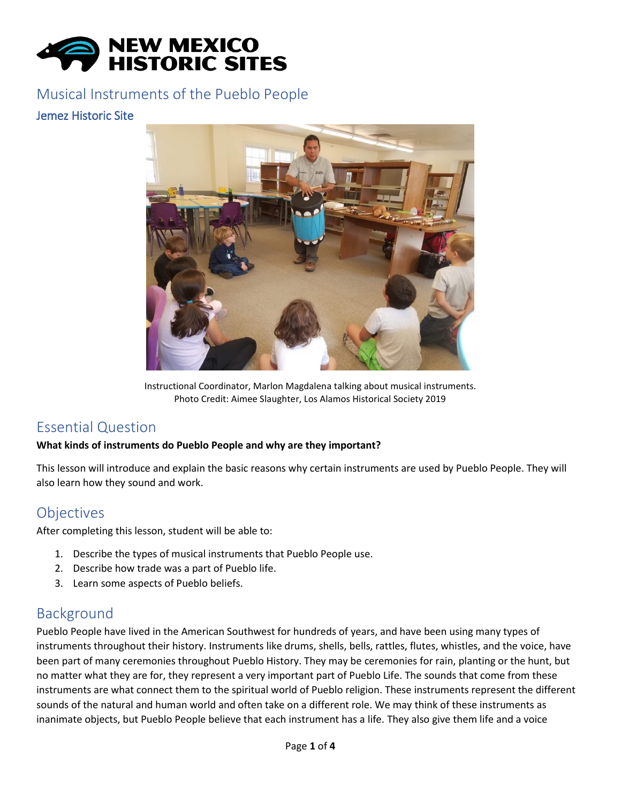

## Musical Instruments of the Pueblo People

### Jemez Historic Site



Instructional Coordinator, Marlon Magdalena talking about musical instruments. Photo Credit: Aimee Slaughter, Los Alamos Historical Society 2019

# Essential Question

#### **What kinds of instruments do Pueblo People and why are they important?**

This lesson will introduce and explain the basic reasons why certain instruments are used by Pueblo People. They will also learn how they sound and work.

# **Objectives**

After completing this lesson, student will be able to:

- 1. Describe the types of musical instruments that Pueblo People use.
- 2. Describe how trade was a part of Pueblo life.
- 3. Learn some aspects of Pueblo beliefs.

# Background

Pueblo People have lived in the American Southwest for hundreds of years, and have been using many types of instruments throughout their history. Instruments like drums, shells, bells, rattles, flutes, whistles, and the voice, have been part of many ceremonies throughout Pueblo History. They may be ceremonies for rain, planting or the hunt, but no matter what they are for, they represent a very important part of Pueblo Life. The sounds that come from these instruments are what connect them to the spiritual world of Pueblo religion. These instruments represent the different sounds of the natural and human world and often take on a different role. We may think of these instruments as inanimate objects, but Pueblo People believe that each instrument has a life. They also give them life and a voice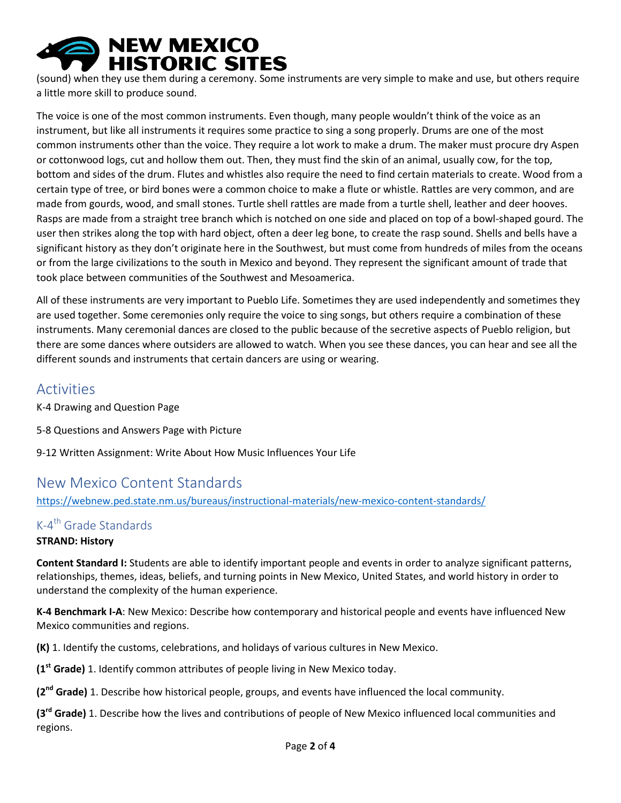# **NEW MEXICO HISTORIC SITES**

(sound) when they use them during a ceremony. Some instruments are very simple to make and use, but others require a little more skill to produce sound.

The voice is one of the most common instruments. Even though, many people wouldn't think of the voice as an instrument, but like all instruments it requires some practice to sing a song properly. Drums are one of the most common instruments other than the voice. They require a lot work to make a drum. The maker must procure dry Aspen or cottonwood logs, cut and hollow them out. Then, they must find the skin of an animal, usually cow, for the top, bottom and sides of the drum. Flutes and whistles also require the need to find certain materials to create. Wood from a certain type of tree, or bird bones were a common choice to make a flute or whistle. Rattles are very common, and are made from gourds, wood, and small stones. Turtle shell rattles are made from a turtle shell, leather and deer hooves. Rasps are made from a straight tree branch which is notched on one side and placed on top of a bowl-shaped gourd. The user then strikes along the top with hard object, often a deer leg bone, to create the rasp sound. Shells and bells have a significant history as they don't originate here in the Southwest, but must come from hundreds of miles from the oceans or from the large civilizations to the south in Mexico and beyond. They represent the significant amount of trade that took place between communities of the Southwest and Mesoamerica.

All of these instruments are very important to Pueblo Life. Sometimes they are used independently and sometimes they are used together. Some ceremonies only require the voice to sing songs, but others require a combination of these instruments. Many ceremonial dances are closed to the public because of the secretive aspects of Pueblo religion, but there are some dances where outsiders are allowed to watch. When you see these dances, you can hear and see all the different sounds and instruments that certain dancers are using or wearing.

# Activities

- K-4 Drawing and Question Page
- 5-8 Questions and Answers Page with Picture
- 9-12 Written Assignment: Write About How Music Influences Your Life

# New Mexico Content Standards

<https://webnew.ped.state.nm.us/bureaus/instructional-materials/new-mexico-content-standards/>

### K-4<sup>th</sup> Grade Standards **STRAND: History**

**Content Standard I:** Students are able to identify important people and events in order to analyze significant patterns, relationships, themes, ideas, beliefs, and turning points in New Mexico, United States, and world history in order to understand the complexity of the human experience.

**K-4 Benchmark I-A**: New Mexico: Describe how contemporary and historical people and events have influenced New Mexico communities and regions.

**(K)** 1. Identify the customs, celebrations, and holidays of various cultures in New Mexico.

**(1st Grade)** 1. Identify common attributes of people living in New Mexico today.

**(2nd Grade)** 1. Describe how historical people, groups, and events have influenced the local community.

**(3rd Grade)** 1. Describe how the lives and contributions of people of New Mexico influenced local communities and regions.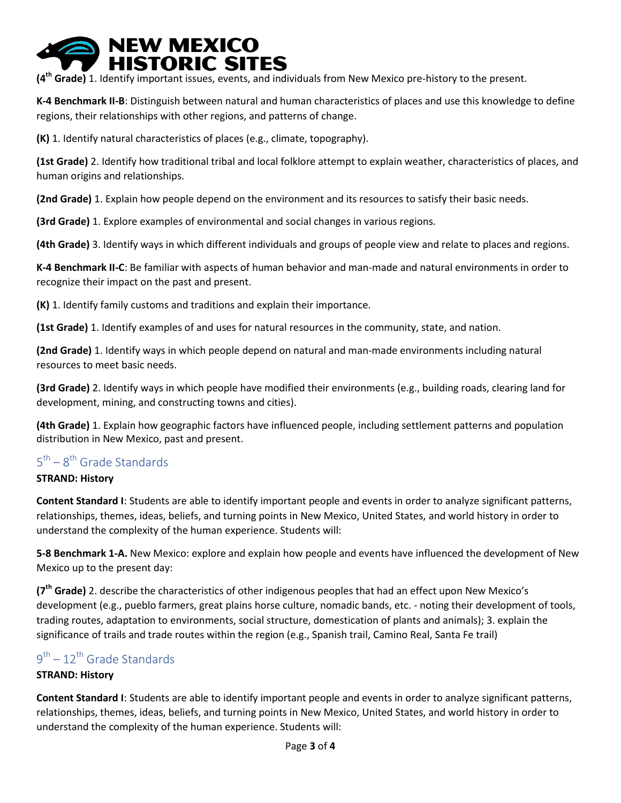

**(4th Grade)** 1. Identify important issues, events, and individuals from New Mexico pre-history to the present.

**K-4 Benchmark II-B**: Distinguish between natural and human characteristics of places and use this knowledge to define regions, their relationships with other regions, and patterns of change.

**(K)** 1. Identify natural characteristics of places (e.g., climate, topography).

**(1st Grade)** 2. Identify how traditional tribal and local folklore attempt to explain weather, characteristics of places, and human origins and relationships.

**(2nd Grade)** 1. Explain how people depend on the environment and its resources to satisfy their basic needs.

**(3rd Grade)** 1. Explore examples of environmental and social changes in various regions.

**(4th Grade)** 3. Identify ways in which different individuals and groups of people view and relate to places and regions.

**K-4 Benchmark II-C**: Be familiar with aspects of human behavior and man-made and natural environments in order to recognize their impact on the past and present.

**(K)** 1. Identify family customs and traditions and explain their importance.

**(1st Grade)** 1. Identify examples of and uses for natural resources in the community, state, and nation.

**(2nd Grade)** 1. Identify ways in which people depend on natural and man-made environments including natural resources to meet basic needs.

**(3rd Grade)** 2. Identify ways in which people have modified their environments (e.g., building roads, clearing land for development, mining, and constructing towns and cities).

**(4th Grade)** 1. Explain how geographic factors have influenced people, including settlement patterns and population distribution in New Mexico, past and present.

### 5<sup>th</sup> – 8<sup>th</sup> Grade Standards

#### **STRAND: History**

**Content Standard I**: Students are able to identify important people and events in order to analyze significant patterns, relationships, themes, ideas, beliefs, and turning points in New Mexico, United States, and world history in order to understand the complexity of the human experience. Students will:

**5-8 Benchmark 1-A.** New Mexico: explore and explain how people and events have influenced the development of New Mexico up to the present day:

**(7th Grade)** 2. describe the characteristics of other indigenous peoples that had an effect upon New Mexico's development (e.g., pueblo farmers, great plains horse culture, nomadic bands, etc. - noting their development of tools, trading routes, adaptation to environments, social structure, domestication of plants and animals); 3. explain the significance of trails and trade routes within the region (e.g., Spanish trail, Camino Real, Santa Fe trail)

## 9<sup>th</sup> – 12<sup>th</sup> Grade Standards

#### **STRAND: History**

**Content Standard I**: Students are able to identify important people and events in order to analyze significant patterns, relationships, themes, ideas, beliefs, and turning points in New Mexico, United States, and world history in order to understand the complexity of the human experience. Students will: